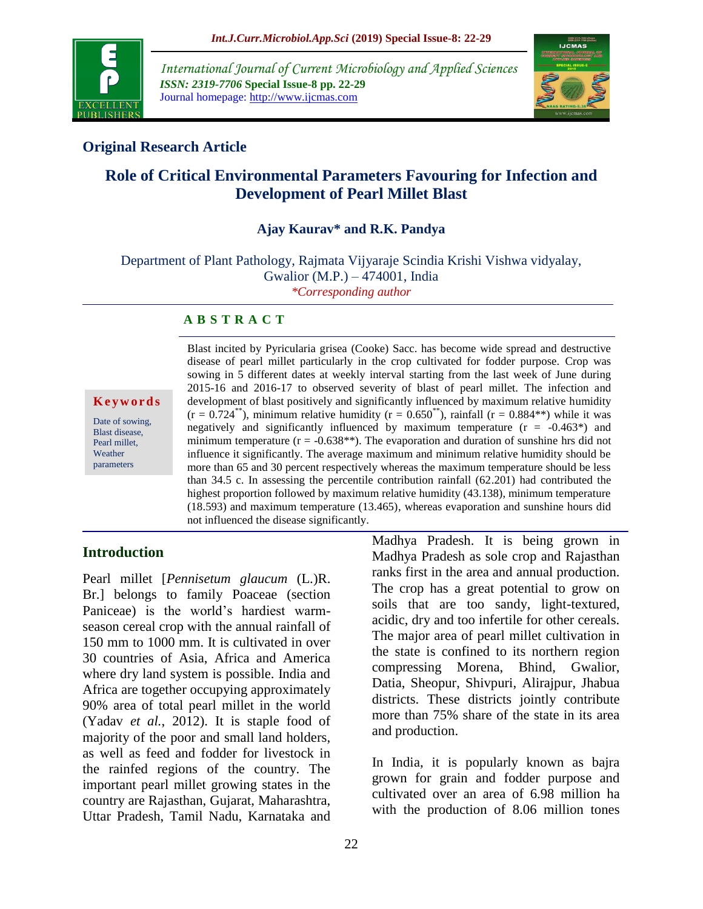

*International Journal of Current Microbiology and Applied Sciences ISSN: 2319-7706* **Special Issue-8 pp. 22-29** Journal homepage: http://www.ijcmas.com



# **Original Research Article**

# **Role of Critical Environmental Parameters Favouring for Infection and Development of Pearl Millet Blast**

## **Ajay Kaurav\* and R.K. Pandya**

Department of Plant Pathology, Rajmata Vijyaraje Scindia Krishi Vishwa vidyalay, Gwalior (M.P.) – 474001, India *\*Corresponding author*

#### **A B S T R A C T**

**K e y w o r d s**

Date of sowing, Blast disease, Pearl millet, Weather parameters

Blast incited by Pyricularia grisea (Cooke) Sacc. has become wide spread and destructive disease of pearl millet particularly in the crop cultivated for fodder purpose. Crop was sowing in 5 different dates at weekly interval starting from the last week of June during 2015-16 and 2016-17 to observed severity of blast of pearl millet. The infection and development of blast positively and significantly influenced by maximum relative humidity  $(r = 0.724^{**})$ , minimum relative humidity  $(r = 0.650^{**})$ , rainfall  $(r = 0.884^{**})$  while it was negatively and significantly influenced by maximum temperature  $(r = -0.463*)$  and minimum temperature ( $r = -0.638$ \*\*). The evaporation and duration of sunshine hrs did not influence it significantly. The average maximum and minimum relative humidity should be more than 65 and 30 percent respectively whereas the maximum temperature should be less than 34.5 c. In assessing the percentile contribution rainfall (62.201) had contributed the highest proportion followed by maximum relative humidity (43.138), minimum temperature (18.593) and maximum temperature (13.465), whereas evaporation and sunshine hours did not influenced the disease significantly.

## **Introduction**

Pearl millet [*Pennisetum glaucum* (L.)R. Br.] belongs to family Poaceae (section Paniceae) is the world's hardiest warmseason cereal crop with the annual rainfall of 150 mm to 1000 mm. It is cultivated in over 30 countries of Asia, Africa and America where dry land system is possible. India and Africa are together occupying approximately 90% area of total pearl millet in the world (Yadav *et al.*, 2012). It is staple food of majority of the poor and small land holders, as well as feed and fodder for livestock in the rainfed regions of the country. The important pearl millet growing states in the country are Rajasthan, Gujarat, Maharashtra, Uttar Pradesh, Tamil Nadu, Karnataka and

Madhya Pradesh. It is being grown in Madhya Pradesh as sole crop and Rajasthan ranks first in the area and annual production. The crop has a great potential to grow on soils that are too sandy, light-textured, acidic, dry and too infertile for other cereals. The major area of pearl millet cultivation in the state is confined to its northern region compressing Morena, Bhind, Gwalior, Datia, Sheopur, Shivpuri, Alirajpur, Jhabua districts. These districts jointly contribute more than 75% share of the state in its area and production.

In India, it is popularly known as bajra grown for grain and fodder purpose and cultivated over an area of 6.98 million ha with the production of 8.06 million tones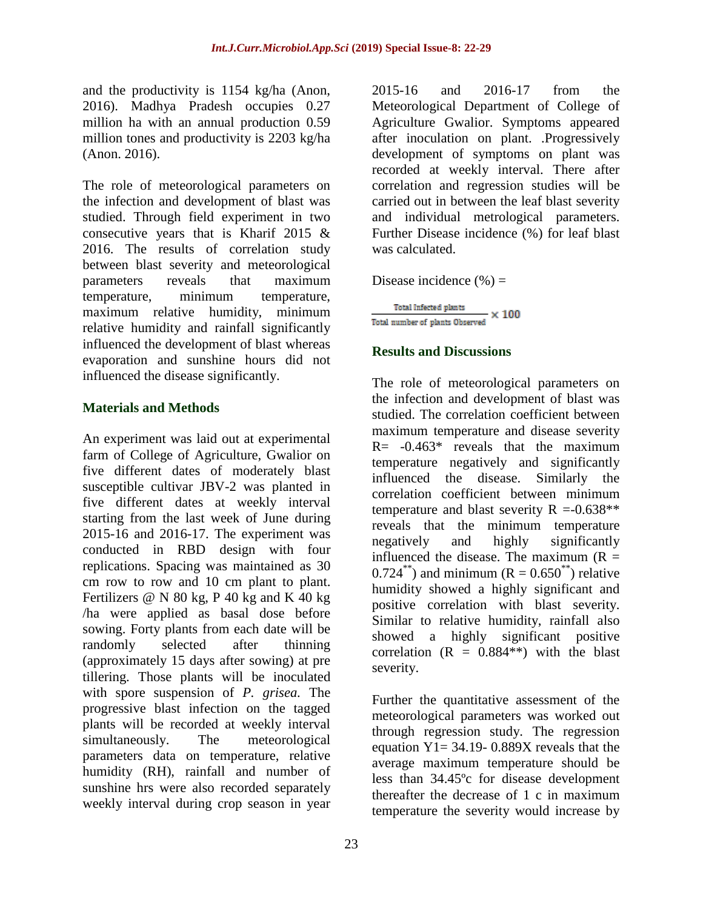and the productivity is 1154 kg/ha (Anon, 2016). Madhya Pradesh occupies 0.27 million ha with an annual production 0.59 million tones and productivity is 2203 kg/ha (Anon. 2016).

The role of meteorological parameters on the infection and development of blast was studied. Through field experiment in two consecutive years that is Kharif 2015 & 2016. The results of correlation study between blast severity and meteorological parameters reveals that maximum temperature, minimum temperature, maximum relative humidity, minimum relative humidity and rainfall significantly influenced the development of blast whereas evaporation and sunshine hours did not influenced the disease significantly.

## **Materials and Methods**

An experiment was laid out at experimental farm of College of Agriculture, Gwalior on five different dates of moderately blast susceptible cultivar JBV-2 was planted in five different dates at weekly interval starting from the last week of June during 2015-16 and 2016-17. The experiment was conducted in RBD design with four replications. Spacing was maintained as 30 cm row to row and 10 cm plant to plant. Fertilizers  $@N 80 kg$ , P 40 kg and K 40 kg /ha were applied as basal dose before sowing. Forty plants from each date will be randomly selected after thinning (approximately 15 days after sowing) at pre tillering. Those plants will be inoculated with spore suspension of *P. grisea.* The progressive blast infection on the tagged plants will be recorded at weekly interval simultaneously. The meteorological parameters data on temperature, relative humidity (RH), rainfall and number of sunshine hrs were also recorded separately weekly interval during crop season in year

2015-16 and 2016-17 from the Meteorological Department of College of Agriculture Gwalior. Symptoms appeared after inoculation on plant. .Progressively development of symptoms on plant was recorded at weekly interval. There after correlation and regression studies will be carried out in between the leaf blast severity and individual metrological parameters. Further Disease incidence (%) for leaf blast was calculated.

Disease incidence  $(\% )$  =

Total Infected plants  $-x100$ Total number of plants Observed

## **Results and Discussions**

The role of meteorological parameters on the infection and development of blast was studied. The correlation coefficient between maximum temperature and disease severity  $R = -0.463*$  reveals that the maximum temperature negatively and significantly influenced the disease. Similarly the correlation coefficient between minimum temperature and blast severity  $R = -0.638**$ reveals that the minimum temperature negatively and highly significantly influenced the disease. The maximum  $(R =$ 0.724<sup>\*\*</sup>) and minimum ( $R = 0.650^{**}$ ) relative humidity showed a highly significant and positive correlation with blast severity. Similar to relative humidity, rainfall also showed a highly significant positive correlation  $(R = 0.884**)$  with the blast severity.

Further the quantitative assessment of the meteorological parameters was worked out through regression study. The regression equation  $Y1 = 34.19 - 0.889X$  reveals that the average maximum temperature should be less than 34.45ºc for disease development thereafter the decrease of 1 c in maximum temperature the severity would increase by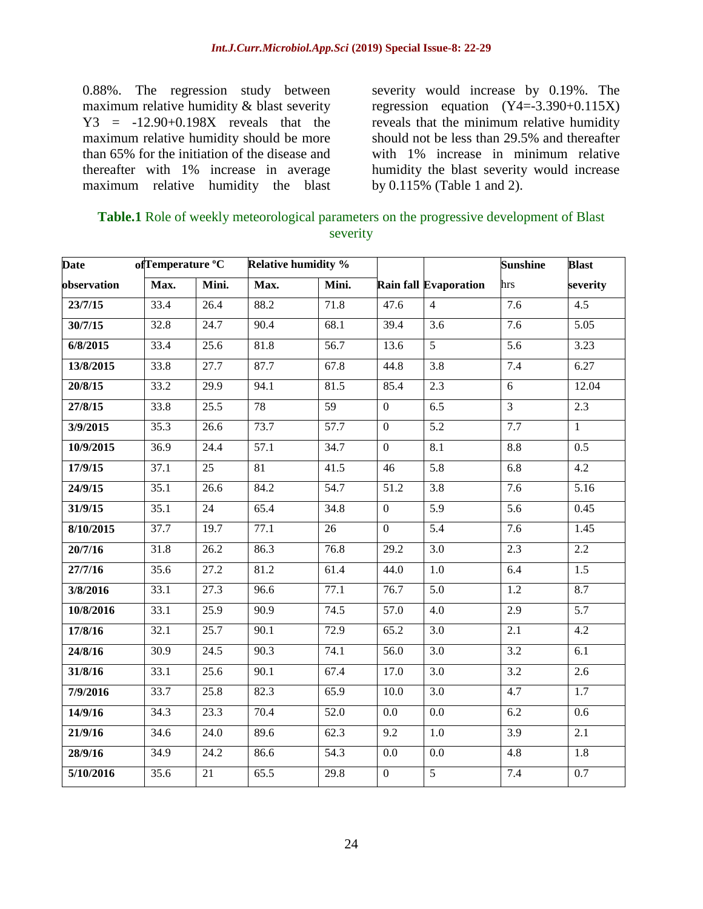0.88%. The regression study between maximum relative humidity & blast severity Y3 = -12.90+0.198X reveals that the maximum relative humidity should be more than 65% for the initiation of the disease and thereafter with 1% increase in average maximum relative humidity the blast

severity would increase by 0.19%. The regression equation  $(Y4=-3.390+0.115X)$ reveals that the minimum relative humidity should not be less than 29.5% and thereafter with 1% increase in minimum relative humidity the blast severity would increase by 0.115% (Table 1 and 2).

| <b>Table.1</b> Role of weekly meteorological parameters on the progressive development of Blast |
|-------------------------------------------------------------------------------------------------|
| severity                                                                                        |

| <b>Date</b> | ofTemperature °C |                   | <b>Relative humidity %</b> |       |                   |                              | <b>Sunshine</b>  | <b>Blast</b>     |
|-------------|------------------|-------------------|----------------------------|-------|-------------------|------------------------------|------------------|------------------|
| observation | Max.             | Mini.             | Max.                       | Mini. |                   | <b>Rain fall Evaporation</b> | hrs              | severity         |
| 23/7/15     | 33.4             | 26.4              | 88.2                       | 71.8  | 47.6              | $\overline{4}$               | $\overline{7.6}$ | $\overline{4.5}$ |
| 30/7/15     | 32.8             | 24.7              | 90.4                       | 68.1  | 39.4              | $\overline{3.6}$             | 7.6              | 5.05             |
| 6/8/2015    | 33.4             | $\overline{25.6}$ | 81.8                       | 56.7  | 13.6              | $\mathfrak{S}$               | 5.6              | 3.23             |
| 13/8/2015   | 33.8             | 27.7              | 87.7                       | 67.8  | 44.8              | $\overline{3.8}$             | 7.4              | 6.27             |
| 20/8/15     | 33.2             | 29.9              | 94.1                       | 81.5  | 85.4              | 2.3                          | 6                | 12.04            |
| 27/8/15     | 33.8             | 25.5              | 78                         | 59    | $\overline{0}$    | 6.5                          | $\overline{3}$   | 2.3              |
| 3/9/2015    | 35.3             | 26.6              | 73.7                       | 57.7  | $\overline{0}$    | $\overline{5.2}$             | 7.7              | $\overline{1}$   |
| 10/9/2015   | 36.9             | 24.4              | 57.1                       | 34.7  | $\overline{0}$    | 8.1                          | 8.8              | 0.5              |
| 17/9/15     | 37.1             | $\overline{25}$   | 81                         | 41.5  | $\overline{46}$   | 5.8                          | 6.8              | 4.2              |
| 24/9/15     | 35.1             | 26.6              | 84.2                       | 54.7  | 51.2              | 3.8                          | 7.6              | 5.16             |
| 31/9/15     | 35.1             | $\overline{24}$   | 65.4                       | 34.8  | $\overline{0}$    | 5.9                          | 5.6              | 0.45             |
| 8/10/2015   | 37.7             | 19.7              | 77.1                       | 26    | $\overline{0}$    | 5.4                          | 7.6              | 1.45             |
| 20/7/16     | 31.8             | 26.2              | 86.3                       | 76.8  | 29.2              | 3.0                          | 2.3              | 2.2              |
| 27/7/16     | 35.6             | 27.2              | 81.2                       | 61.4  | 44.0              | 1.0                          | 6.4              | 1.5              |
| 3/8/2016    | 33.1             | 27.3              | 96.6                       | 77.1  | 76.7              | 5.0                          | 1.2              | 8.7              |
| 10/8/2016   | 33.1             | 25.9              | 90.9                       | 74.5  | $\overline{57.0}$ | 4.0                          | 2.9              | $\overline{5.7}$ |
| 17/8/16     | 32.1             | 25.7              | 90.1                       | 72.9  | 65.2              | $\overline{3.0}$             | 2.1              | 4.2              |
| 24/8/16     | 30.9             | $\overline{24.5}$ | 90.3                       | 74.1  | $\overline{56.0}$ | $\overline{3.0}$             | 3.2              | 6.1              |
| 31/8/16     | 33.1             | 25.6              | 90.1                       | 67.4  | $\overline{17.0}$ | $\overline{3.0}$             | 3.2              | $\overline{2.6}$ |
| 7/9/2016    | 33.7             | 25.8              | 82.3                       | 65.9  | 10.0              | $\overline{3.0}$             | 4.7              | $\overline{1.7}$ |
| 14/9/16     | 34.3             | 23.3              | 70.4                       | 52.0  | 0.0               | 0.0                          | 6.2              | 0.6              |
| 21/9/16     | 34.6             | 24.0              | 89.6                       | 62.3  | 9.2               | 1.0                          | 3.9              | $\overline{2.1}$ |
| 28/9/16     | 34.9             | 24.2              | 86.6                       | 54.3  | $0.0\,$           | 0.0                          | 4.8              | 1.8              |
| 5/10/2016   | 35.6             | 21                | $\overline{65.5}$          | 29.8  | $\overline{0}$    | $\overline{5}$               | 7.4              | $\overline{0.7}$ |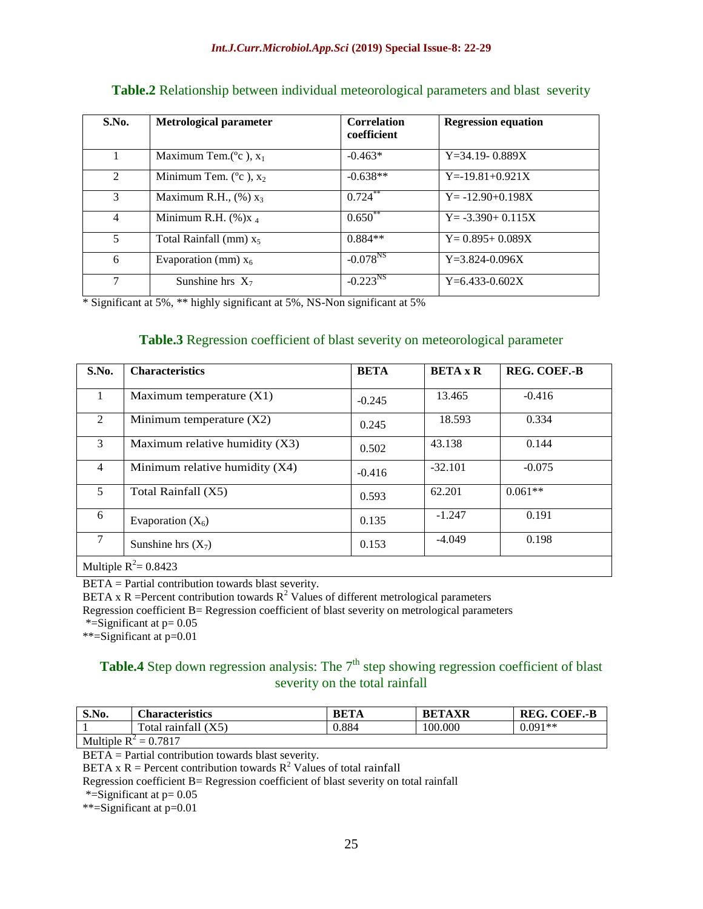| S.No.          | <b>Metrological parameter</b>       | <b>Correlation</b><br>coefficient | <b>Regression equation</b> |
|----------------|-------------------------------------|-----------------------------------|----------------------------|
|                | Maximum Tem.( $^{\circ}$ c), $x_1$  | $-0.463*$                         | $Y=34.19 - 0.889X$         |
| 2              | Minimum Tem. ( $^{\circ}$ c), $x_2$ | $-0.638**$                        | $Y = -19.81 + 0.921X$      |
| 3              | Maximum R.H., $(\%) x_3$            | $0.724***$                        | $Y = -12.90 + 0.198X$      |
| $\overline{4}$ | Minimum R.H. $(\%)_{X_4}$           | $0.650^{*}$                       | $Y = -3.390 + 0.115X$      |
| 5              | Total Rainfall (mm) $x_5$           | $0.884**$                         | $Y=0.895+0.089X$           |
| 6              | Evaporation (mm) $x_6$              | $-0.078^{NS}$                     | $Y=3.824-0.096X$           |
| 7              | Sunshine hrs $X_7$                  | $-0.223^{NS}$                     | $Y=6.433-0.602X$           |

#### **Table.2** Relationship between individual meteorological parameters and blast severity

\* Significant at 5%, \*\* highly significant at 5%, NS-Non significant at 5%

#### **Table.3** Regression coefficient of blast severity on meteorological parameter

| S.No.          | <b>Characteristics</b>           | <b>BETA</b> | <b>BETA</b> x R | <b>REG. COEF.-B</b> |  |  |
|----------------|----------------------------------|-------------|-----------------|---------------------|--|--|
|                | Maximum temperature $(X1)$       | $-0.245$    | 13.465          | $-0.416$            |  |  |
| $\mathfrak{D}$ | Minimum temperature $(X2)$       | 0.245       | 18.593          | 0.334               |  |  |
| 3              | Maximum relative humidity $(X3)$ | 0.502       | 43.138          | 0.144               |  |  |
| $\overline{4}$ | Minimum relative humidity $(X4)$ | $-0.416$    | $-32.101$       | $-0.075$            |  |  |
| 5              | Total Rainfall (X5)              | 0.593       | 62.201          | $0.061**$           |  |  |
| 6              | Evaporation $(X_6)$              | 0.135       | $-1.247$        | 0.191               |  |  |
| 7              | Sunshine hrs $(X_7)$             | 0.153       | $-4.049$        | 0.198               |  |  |
|                | Multiple $R^2$ = 0.8423          |             |                 |                     |  |  |

BETA = Partial contribution towards blast severity.

BETA x R =Percent contribution towards  $R^2$  Values of different metrological parameters

Regression coefficient B= Regression coefficient of blast severity on metrological parameters

\*=Significant at  $p=0.05$ 

\*\*=Significant at p=0.01

# **Table.4** Step down regression analysis: The  $7<sup>th</sup>$  step showing regression coefficient of blast severity on the total rainfall

| S.No.                     | <b>Characteristics</b>                                            | <b>BETA</b> | <b>BETAXR</b> | <b>COEF.-B</b><br>REG. |  |
|---------------------------|-------------------------------------------------------------------|-------------|---------------|------------------------|--|
|                           | m<br>raintall (<br>`otal<br>$\Delta$ <sup><math>\cup</math></sup> | 0.884       | 100.000       | $0.091**$              |  |
| $M = 1.1 - 1.7$<br>0.7017 |                                                                   |             |               |                        |  |

Multiple  $R^2 = 0.7817$ 

BETA = Partial contribution towards blast severity.

BETA x R = Percent contribution towards  $R^2$  Values of total rainfall

Regression coefficient B= Regression coefficient of blast severity on total rainfall

\*=Significant at  $p=0.05$ 

\*\*=Significant at p=0.01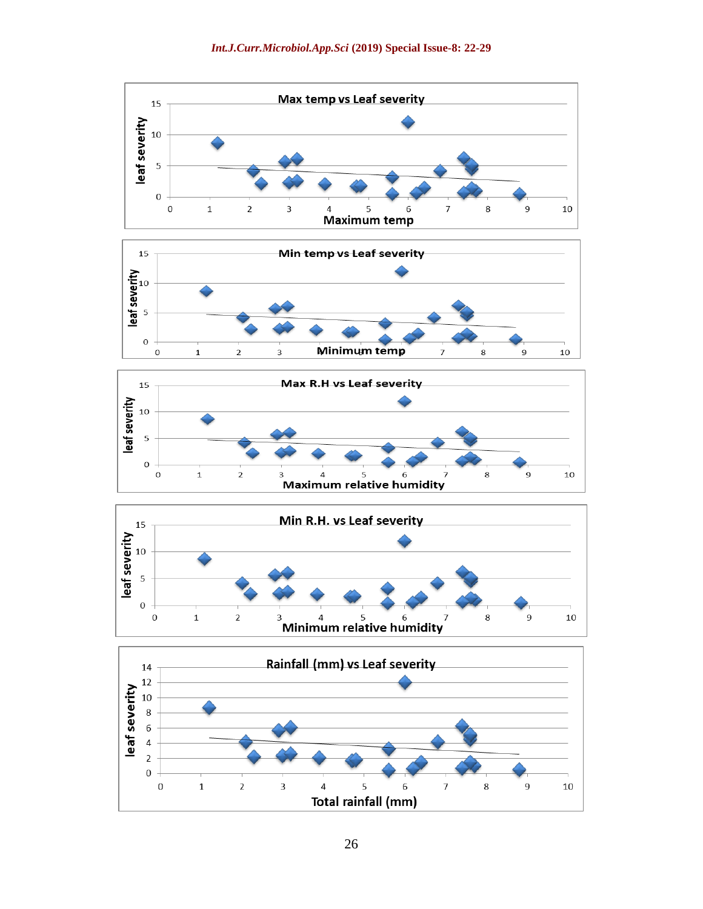







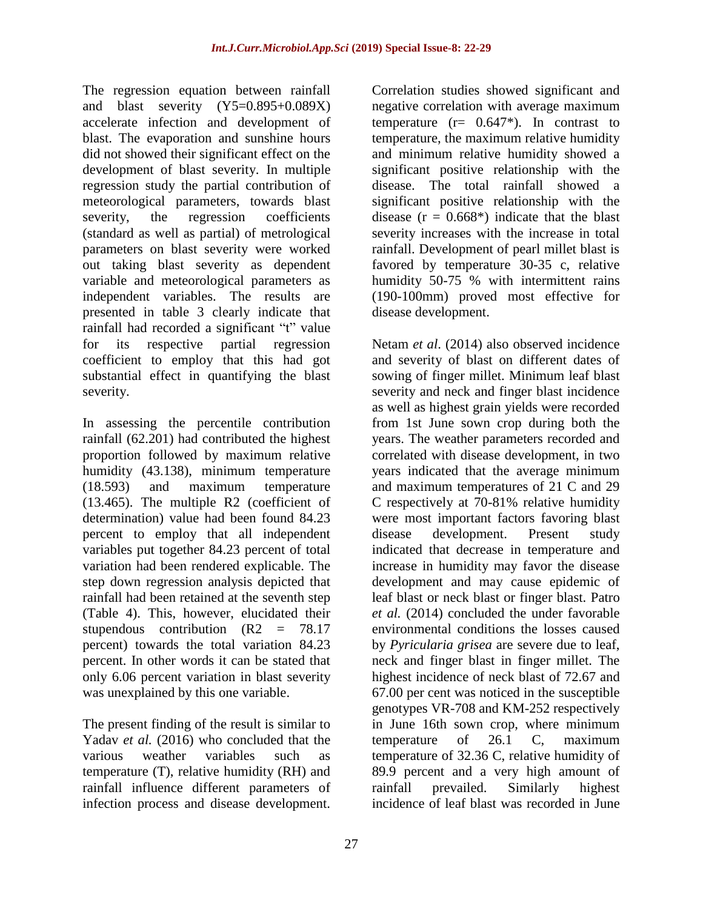The regression equation between rainfall and blast severity (Y5=0.895+0.089X) accelerate infection and development of blast. The evaporation and sunshine hours did not showed their significant effect on the development of blast severity. In multiple regression study the partial contribution of meteorological parameters, towards blast severity, the regression coefficients (standard as well as partial) of metrological parameters on blast severity were worked out taking blast severity as dependent variable and meteorological parameters as independent variables. The results are presented in table 3 clearly indicate that rainfall had recorded a significant "t" value for its respective partial regression coefficient to employ that this had got substantial effect in quantifying the blast severity.

In assessing the percentile contribution rainfall (62.201) had contributed the highest proportion followed by maximum relative humidity (43.138), minimum temperature (18.593) and maximum temperature (13.465). The multiple R2 (coefficient of determination) value had been found 84.23 percent to employ that all independent variables put together 84.23 percent of total variation had been rendered explicable. The step down regression analysis depicted that rainfall had been retained at the seventh step (Table 4). This, however, elucidated their stupendous contribution  $(R2 = 78.17)$ percent) towards the total variation 84.23 percent. In other words it can be stated that only 6.06 percent variation in blast severity was unexplained by this one variable.

The present finding of the result is similar to Yadav *et al.* (2016) who concluded that the various weather variables such as temperature (T), relative humidity (RH) and rainfall influence different parameters of infection process and disease development.

Correlation studies showed significant and negative correlation with average maximum temperature  $(r= 0.647^*)$ . In contrast to temperature, the maximum relative humidity and minimum relative humidity showed a significant positive relationship with the disease. The total rainfall showed a significant positive relationship with the disease  $(r = 0.668*)$  indicate that the blast severity increases with the increase in total rainfall. Development of pearl millet blast is favored by temperature 30-35 c, relative humidity 50-75 % with intermittent rains (190-100mm) proved most effective for disease development.

Netam *et al*. (2014) also observed incidence and severity of blast on different dates of sowing of finger millet. Minimum leaf blast severity and neck and finger blast incidence as well as highest grain yields were recorded from 1st June sown crop during both the years. The weather parameters recorded and correlated with disease development, in two years indicated that the average minimum and maximum temperatures of 21 C and 29 C respectively at 70-81% relative humidity were most important factors favoring blast disease development. Present study indicated that decrease in temperature and increase in humidity may favor the disease development and may cause epidemic of leaf blast or neck blast or finger blast. Patro *et al.* (2014) concluded the under favorable environmental conditions the losses caused by *Pyricularia grisea* are severe due to leaf, neck and finger blast in finger millet. The highest incidence of neck blast of 72.67 and 67.00 per cent was noticed in the susceptible genotypes VR-708 and KM-252 respectively in June 16th sown crop, where minimum temperature of 26.1 C, maximum temperature of 32.36 C, relative humidity of 89.9 percent and a very high amount of rainfall prevailed. Similarly highest incidence of leaf blast was recorded in June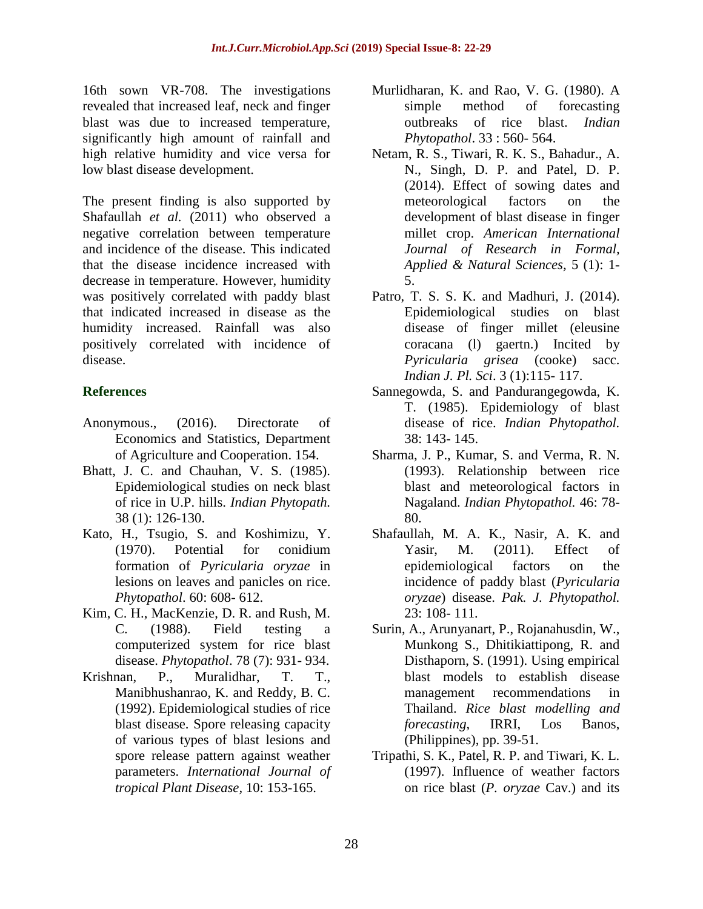16th sown VR-708. The investigations revealed that increased leaf, neck and finger blast was due to increased temperature, significantly high amount of rainfall and high relative humidity and vice versa for low blast disease development.

The present finding is also supported by Shafaullah *et al.* (2011) who observed a negative correlation between temperature and incidence of the disease. This indicated that the disease incidence increased with decrease in temperature. However, humidity was positively correlated with paddy blast that indicated increased in disease as the humidity increased. Rainfall was also positively correlated with incidence of disease.

## **References**

- Anonymous., (2016). Directorate of Economics and Statistics, Department of Agriculture and Cooperation. 154.
- Bhatt, J. C. and Chauhan, V. S. (1985). Epidemiological studies on neck blast of rice in U.P. hills. *Indian Phytopath.*  38 (1): 126-130.
- Kato, H., Tsugio, S. and Koshimizu, Y. (1970). Potential for conidium formation of *Pyricularia oryzae* in lesions on leaves and panicles on rice. *Phytopathol*. 60: 608- 612.
- Kim, C. H., MacKenzie, D. R. and Rush, M. C. (1988). Field testing a computerized system for rice blast disease. *Phytopathol*. 78 (7): 931- 934.
- Krishnan, P., Muralidhar, T. T., Manibhushanrao, K. and Reddy, B. C. (1992). Epidemiological studies of rice blast disease. Spore releasing capacity of various types of blast lesions and spore release pattern against weather parameters. *International Journal of tropical Plant Disease,* 10: 153-165.
- Murlidharan, K. and Rao, V. G. (1980). A simple method of forecasting outbreaks of rice blast. *Indian Phytopathol*. 33 : 560- 564.
- Netam, R. S., Tiwari, R. K. S., Bahadur., A. N., Singh, D. P. and Patel, D. P. (2014). Effect of sowing dates and meteorological factors on the development of blast disease in finger millet crop. *American International Journal of Research in Formal, Applied & Natural Sciences,* 5 (1): 1- 5.
- Patro, T. S. S. K. and Madhuri, J. (2014). Epidemiological studies on blast disease of finger millet (eleusine coracana (l) gaertn.) Incited by *Pyricularia grisea* (cooke) sacc. *Indian J. Pl. Sci*. 3 (1):115- 117.
- Sannegowda, S. and Pandurangegowda, K. T. (1985). Epidemiology of blast disease of rice. *Indian Phytopathol.*  38: 143- 145.
- Sharma, J. P., Kumar, S. and Verma, R. N. (1993). Relationship between rice blast and meteorological factors in Nagaland. *Indian Phytopathol.* 46: 78- 80.
- Shafaullah, M. A. K., Nasir, A. K. and Yasir, M. (2011). Effect of epidemiological factors on the incidence of paddy blast (*Pyricularia oryzae*) disease. *Pak. J. Phytopathol.*  23: 108- 111*.*
- Surin, A., Arunyanart, P., Rojanahusdin, W., Munkong S., Dhitikiattipong, R. and Disthaporn, S. (1991). Using empirical blast models to establish disease management recommendations in Thailand. *Rice blast modelling and forecasting*, IRRI, Los Banos, (Philippines), pp. 39-51.
- Tripathi, S. K., Patel, R. P. and Tiwari, K. L. (1997). Influence of weather factors on rice blast (*P. oryzae* Cav.) and its